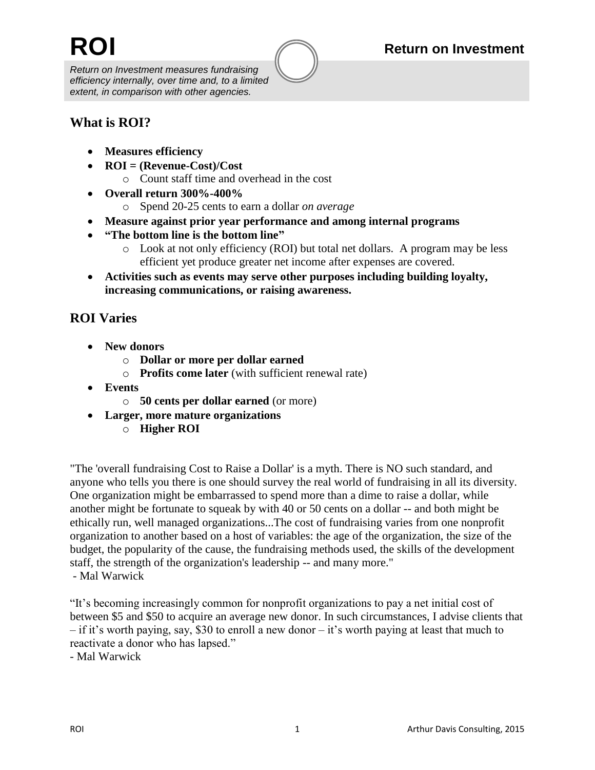## **ROI Return on Investment**

*Return on Investment measures fundraising efficiency internally, over time and, to a limited extent, in comparison with other agencies.*

## **What is ROI?**

- **Measures efficiency**
- **ROI = (Revenue-Cost)/Cost**
	- o Count staff time and overhead in the cost
- **Overall return 300%-400%**
	- o Spend 20-25 cents to earn a dollar *on average*
- **Measure against prior year performance and among internal programs**
- **"The bottom line is the bottom line"**
	- o Look at not only efficiency (ROI) but total net dollars. A program may be less efficient yet produce greater net income after expenses are covered.
- **Activities such as events may serve other purposes including building loyalty, increasing communications, or raising awareness.**

## **ROI Varies**

- **New donors** 
	- o **Dollar or more per dollar earned**
	- o **Profits come later** (with sufficient renewal rate)
- **Events**
	- o **50 cents per dollar earned** (or more)
- **Larger, more mature organizations** 
	- o **Higher ROI**

"The 'overall fundraising Cost to Raise a Dollar' is a myth. There is NO such standard, and anyone who tells you there is one should survey the real world of fundraising in all its diversity. One organization might be embarrassed to spend more than a dime to raise a dollar, while another might be fortunate to squeak by with 40 or 50 cents on a dollar -- and both might be ethically run, well managed organizations...The cost of fundraising varies from one nonprofit organization to another based on a host of variables: the age of the organization, the size of the budget, the popularity of the cause, the fundraising methods used, the skills of the development staff, the strength of the organization's leadership -- and many more."

- Mal Warwick

"It's becoming increasingly common for nonprofit organizations to pay a net initial cost of between \$5 and \$50 to acquire an average new donor. In such circumstances, I advise clients that – if it's worth paying, say, \$30 to enroll a new donor – it's worth paying at least that much to reactivate a donor who has lapsed."

- Mal Warwick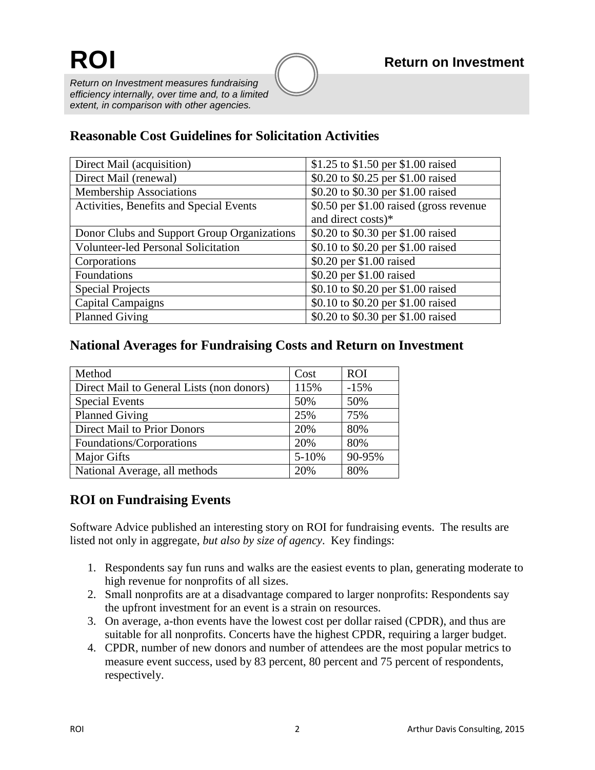*Return on Investment measures fundraising efficiency internally, over time and, to a limited extent, in comparison with other agencies.*

# **Reasonable Cost Guidelines for Solicitation Activities**

| Direct Mail (acquisition)                   | \$1.25 to \$1.50 per \$1.00 raised       |  |
|---------------------------------------------|------------------------------------------|--|
| Direct Mail (renewal)                       | \$0.20 to \$0.25 per \$1.00 raised       |  |
| <b>Membership Associations</b>              | \$0.20 to \$0.30 per \$1.00 raised       |  |
| Activities, Benefits and Special Events     | \$0.50 per \$1.00 raised (gross revenue) |  |
|                                             | and direct costs)*                       |  |
| Donor Clubs and Support Group Organizations | \$0.20 to \$0.30 per \$1.00 raised       |  |
| <b>Volunteer-led Personal Solicitation</b>  | \$0.10 to \$0.20 per \$1.00 raised       |  |
| Corporations                                | \$0.20 per \$1.00 raised                 |  |
| Foundations                                 | \$0.20 per \$1.00 raised                 |  |
| <b>Special Projects</b>                     | \$0.10 to \$0.20 per \$1.00 raised       |  |
| Capital Campaigns                           | \$0.10 to \$0.20 per \$1.00 raised       |  |
| <b>Planned Giving</b>                       | \$0.20 to \$0.30 per \$1.00 raised       |  |

## **National Averages for Fundraising Costs and Return on Investment**

| Method                                    | Cost      | <b>ROI</b> |
|-------------------------------------------|-----------|------------|
| Direct Mail to General Lists (non donors) | 115%      | $-15%$     |
| <b>Special Events</b>                     | 50%       | 50%        |
| <b>Planned Giving</b>                     | 25%       | 75%        |
| <b>Direct Mail to Prior Donors</b>        | 20%       | 80%        |
| Foundations/Corporations                  | 20%       | 80%        |
| <b>Major Gifts</b>                        | $5 - 10%$ | 90-95%     |
| National Average, all methods             | 20%       | 80%        |

## **ROI on Fundraising Events**

Software Advice published an interesting story on ROI for fundraising events. The results are listed not only in aggregate, *but also by size of agency*. Key findings:

- 1. Respondents say fun runs and walks are the easiest events to plan, generating moderate to high revenue for nonprofits of all sizes.
- 2. Small nonprofits are at a disadvantage compared to larger nonprofits: Respondents say the upfront investment for an event is a strain on resources.
- 3. On average, a-thon events have the lowest cost per dollar raised (CPDR), and thus are suitable for all nonprofits. Concerts have the highest CPDR, requiring a larger budget.
- 4. CPDR, number of new donors and number of attendees are the most popular metrics to measure event success, used by 83 percent, 80 percent and 75 percent of respondents, respectively.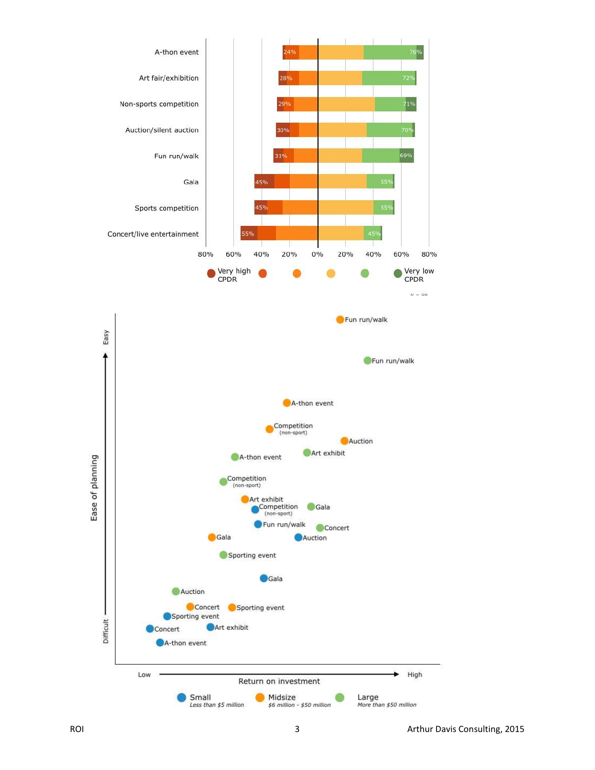